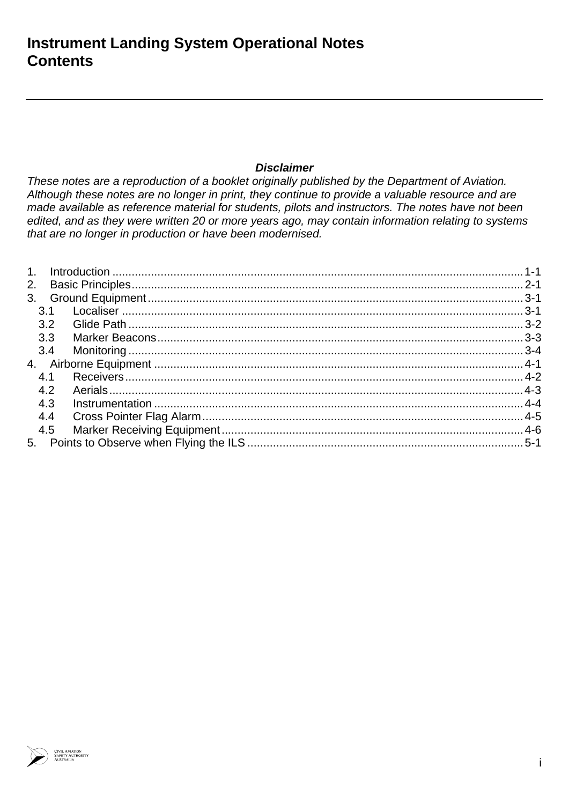### **Disclaimer**

These notes are a reproduction of a booklet originally published by the Department of Aviation. Although these notes are no longer in print, they continue to provide a valuable resource and are made available as reference material for students, pilots and instructors. The notes have not been edited, and as they were written 20 or more years ago, may contain information relating to systems that are no longer in production or have been modernised.

| 2. |     |  |
|----|-----|--|
|    |     |  |
|    | 3.1 |  |
|    | 3.2 |  |
|    | 3.3 |  |
|    | 3.4 |  |
|    |     |  |
|    | 4.1 |  |
|    | 4.2 |  |
|    | 4.3 |  |
|    | 4.4 |  |
|    | 4.5 |  |
|    |     |  |

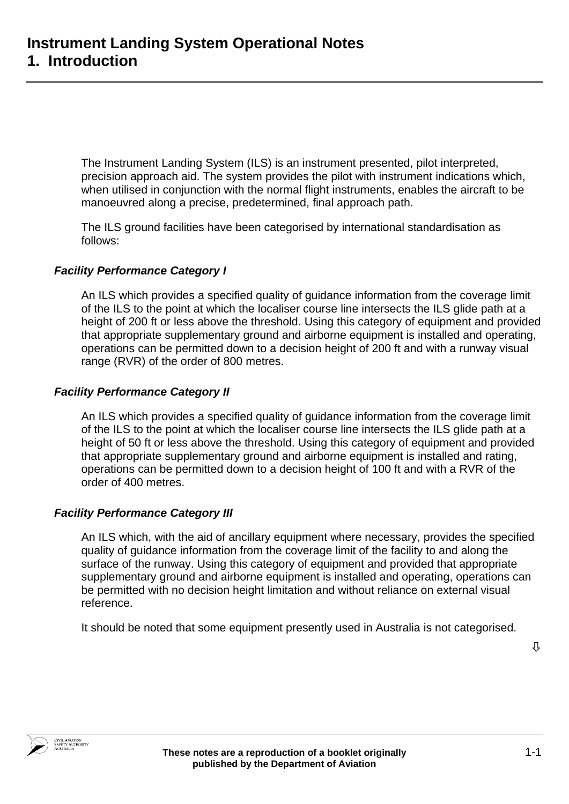The Instrument Landing System (ILS) is an instrument presented, pilot interpreted, precision approach aid. The system provides the pilot with instrument indications which, when utilised in conjunction with the normal flight instruments, enables the aircraft to be manoeuvred along a precise, predetermined, final approach path.

The ILS ground facilities have been categorised by international standardisation as follows:

### *Facility Performance Category I*

An ILS which provides a specified quality of guidance information from the coverage limit of the ILS to the point at which the localiser course line intersects the ILS glide path at a height of 200 ft or less above the threshold. Using this category of equipment and provided that appropriate supplementary ground and airborne equipment is installed and operating, operations can be permitted down to a decision height of 200 ft and with a runway visual range (RVR) of the order of 800 metres.

### *Facility Performance Category II*

An ILS which provides a specified quality of guidance information from the coverage limit of the ILS to the point at which the localiser course line intersects the ILS glide path at a height of 50 ft or less above the threshold. Using this category of equipment and provided that appropriate supplementary ground and airborne equipment is installed and rating, operations can be permitted down to a decision height of 100 ft and with a RVR of the order of 400 metres.

### *Facility Performance Category III*

An ILS which, with the aid of ancillary equipment where necessary, provides the specified quality of guidance information from the coverage limit of the facility to and along the surface of the runway. Using this category of equipment and provided that appropriate supplementary ground and airborne equipment is installed and operating, operations can be permitted with no decision height limitation and without reliance on external visual reference.

It should be noted that some equipment presently used in Australia is not categorised.

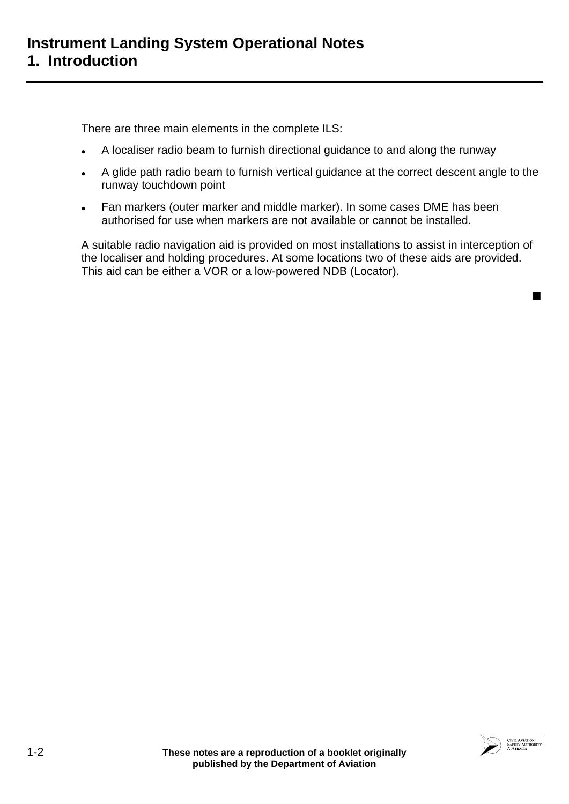There are three main elements in the complete ILS:

- A localiser radio beam to furnish directional guidance to and along the runway
- A glide path radio beam to furnish vertical guidance at the correct descent angle to the runway touchdown point
- Fan markers (outer marker and middle marker). In some cases DME has been authorised for use when markers are not available or cannot be installed.

A suitable radio navigation aid is provided on most installations to assist in interception of the localiser and holding procedures. At some locations two of these aids are provided. This aid can be either a VOR or a low-powered NDB (Locator).



 $\blacksquare$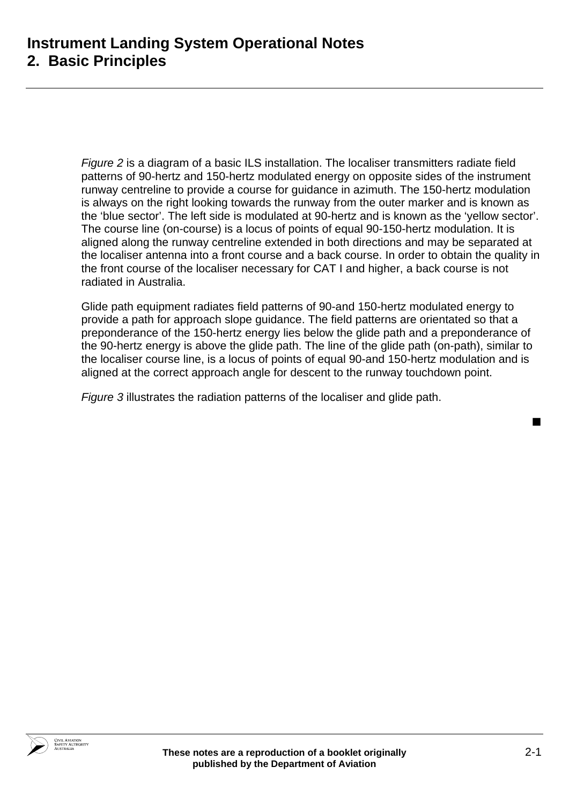*Figure 2* is a diagram of a basic ILS installation. The localiser transmitters radiate field patterns of 90-hertz and 150-hertz modulated energy on opposite sides of the instrument runway centreline to provide a course for guidance in azimuth. The 150-hertz modulation is always on the right looking towards the runway from the outer marker and is known as the 'blue sector'. The left side is modulated at 90-hertz and is known as the 'yellow sector'. The course line (on-course) is a locus of points of equal 90-150-hertz modulation. It is aligned along the runway centreline extended in both directions and may be separated at the localiser antenna into a front course and a back course. In order to obtain the quality in the front course of the localiser necessary for CAT I and higher, a back course is not radiated in Australia.

Glide path equipment radiates field patterns of 90-and 150-hertz modulated energy to provide a path for approach slope guidance. The field patterns are orientated so that a preponderance of the 150-hertz energy lies below the glide path and a preponderance of the 90-hertz energy is above the glide path. The line of the glide path (on-path), similar to the localiser course line, is a locus of points of equal 90-and 150-hertz modulation and is aligned at the correct approach angle for descent to the runway touchdown point.

*Figure 3* illustrates the radiation patterns of the localiser and glide path.

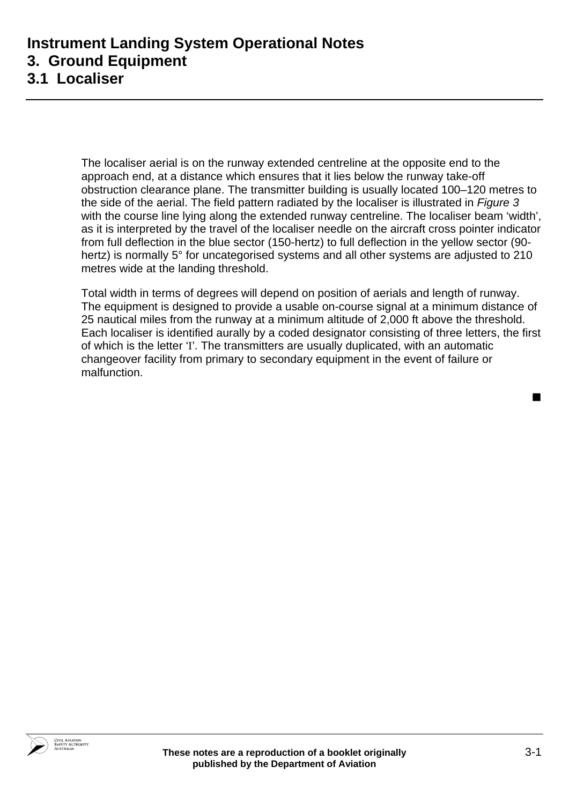## **Instrument Landing System Operational Notes 3. Ground Equipment 3.1 Localiser**

The localiser aerial is on the runway extended centreline at the opposite end to the approach end, at a distance which ensures that it lies below the runway take-off obstruction clearance plane. The transmitter building is usually located 100–120 metres to the side of the aerial. The field pattern radiated by the localiser is illustrated in *Figure 3* with the course line lying along the extended runway centreline. The localiser beam 'width', as it is interpreted by the travel of the localiser needle on the aircraft cross pointer indicator from full deflection in the blue sector (150-hertz) to full deflection in the yellow sector (90 hertz) is normally 5° for uncategorised systems and all other systems are adjusted to 210 metres wide at the landing threshold.

Total width in terms of degrees will depend on position of aerials and length of runway. The equipment is designed to provide a usable on-course signal at a minimum distance of 25 nautical miles from the runway at a minimum altitude of 2,000 ft above the threshold. Each localiser is identified aurally by a coded designator consisting of three letters, the first of which is the letter 'I'. The transmitters are usually duplicated, with an automatic changeover facility from primary to secondary equipment in the event of failure or malfunction.

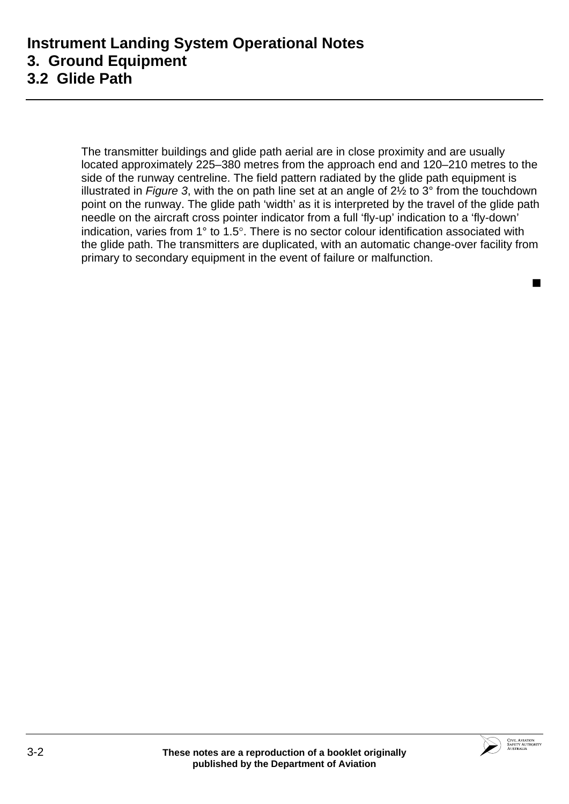The transmitter buildings and glide path aerial are in close proximity and are usually located approximately 225–380 metres from the approach end and 120–210 metres to the side of the runway centreline. The field pattern radiated by the glide path equipment is illustrated in *Figure 3*, with the on path line set at an angle of 2½ to 3° from the touchdown point on the runway. The glide path 'width' as it is interpreted by the travel of the glide path needle on the aircraft cross pointer indicator from a full 'fly-up' indication to a 'fly-down' indication, varies from 1° to 1.5°. There is no sector colour identification associated with the glide path. The transmitters are duplicated, with an automatic change-over facility from primary to secondary equipment in the event of failure or malfunction.

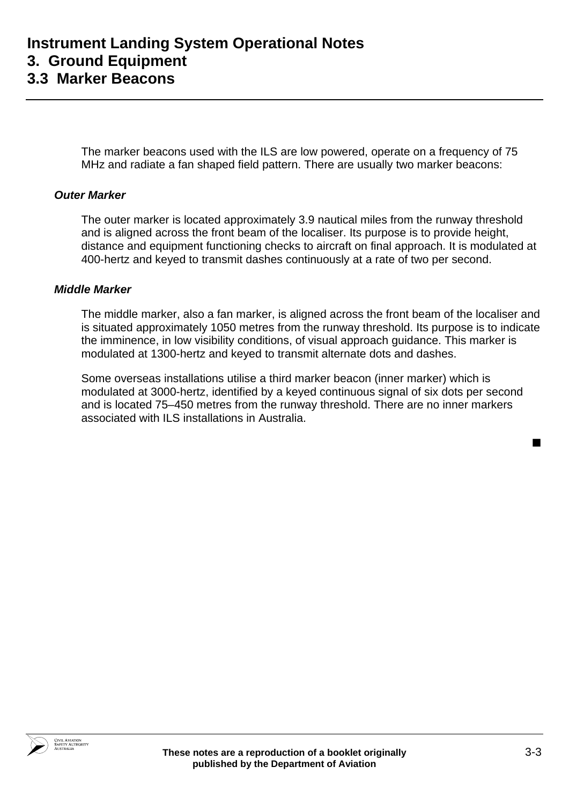The marker beacons used with the ILS are low powered, operate on a frequency of 75 MHz and radiate a fan shaped field pattern. There are usually two marker beacons:

#### *Outer Marker*

The outer marker is located approximately 3.9 nautical miles from the runway threshold and is aligned across the front beam of the localiser. Its purpose is to provide height, distance and equipment functioning checks to aircraft on final approach. It is modulated at 400-hertz and keyed to transmit dashes continuously at a rate of two per second.

#### *Middle Marker*

The middle marker, also a fan marker, is aligned across the front beam of the localiser and is situated approximately 1050 metres from the runway threshold. Its purpose is to indicate the imminence, in low visibility conditions, of visual approach guidance. This marker is modulated at 1300-hertz and keyed to transmit alternate dots and dashes.

Some overseas installations utilise a third marker beacon (inner marker) which is modulated at 3000-hertz, identified by a keyed continuous signal of six dots per second and is located 75–450 metres from the runway threshold. There are no inner markers associated with ILS installations in Australia.

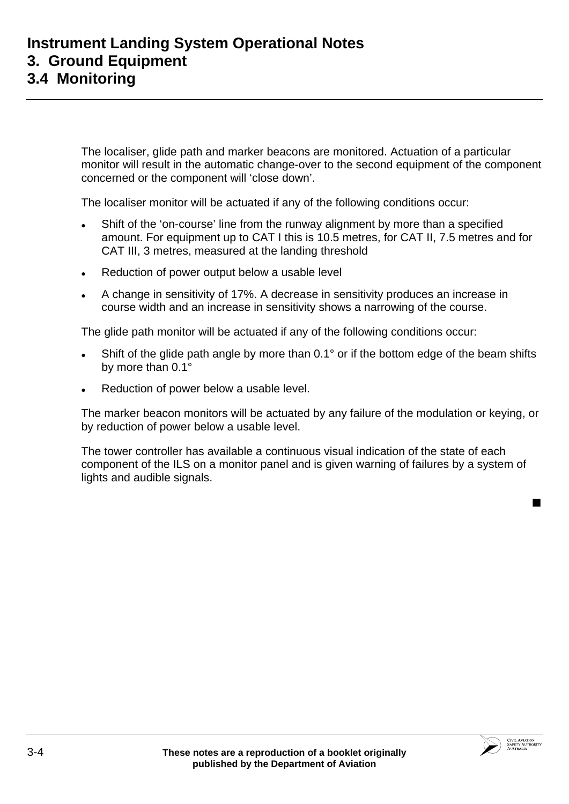The localiser, glide path and marker beacons are monitored. Actuation of a particular monitor will result in the automatic change-over to the second equipment of the component concerned or the component will 'close down'.

The localiser monitor will be actuated if any of the following conditions occur:

- Shift of the 'on-course' line from the runway alignment by more than a specified amount. For equipment up to CAT I this is 10.5 metres, for CAT II, 7.5 metres and for CAT III, 3 metres, measured at the landing threshold
- Reduction of power output below a usable level
- A change in sensitivity of 17%. A decrease in sensitivity produces an increase in course width and an increase in sensitivity shows a narrowing of the course.

The glide path monitor will be actuated if any of the following conditions occur:

- Shift of the glide path angle by more than  $0.1^\circ$  or if the bottom edge of the beam shifts by more than 0.1°
- Reduction of power below a usable level.

The marker beacon monitors will be actuated by any failure of the modulation or keying, or by reduction of power below a usable level.

The tower controller has available a continuous visual indication of the state of each component of the ILS on a monitor panel and is given warning of failures by a system of lights and audible signals.



■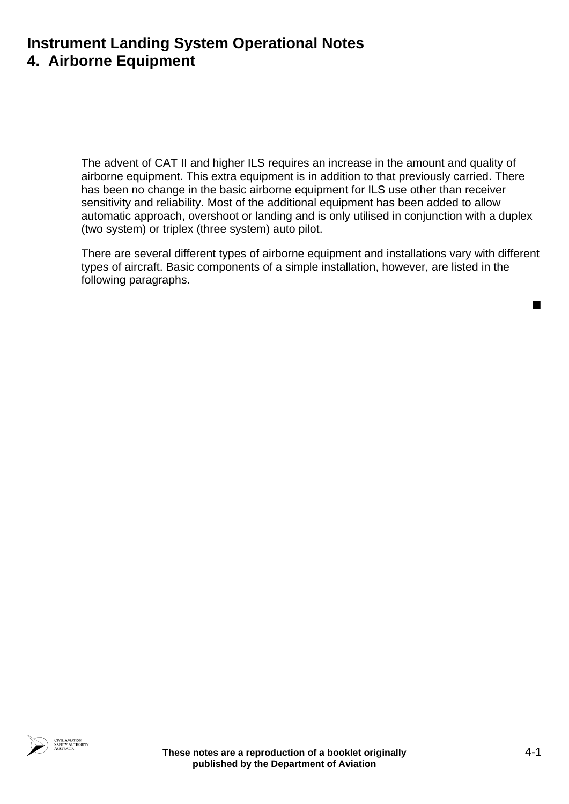The advent of CAT II and higher ILS requires an increase in the amount and quality of airborne equipment. This extra equipment is in addition to that previously carried. There has been no change in the basic airborne equipment for ILS use other than receiver sensitivity and reliability. Most of the additional equipment has been added to allow automatic approach, overshoot or landing and is only utilised in conjunction with a duplex (two system) or triplex (three system) auto pilot.

There are several different types of airborne equipment and installations vary with different types of aircraft. Basic components of a simple installation, however, are listed in the following paragraphs.

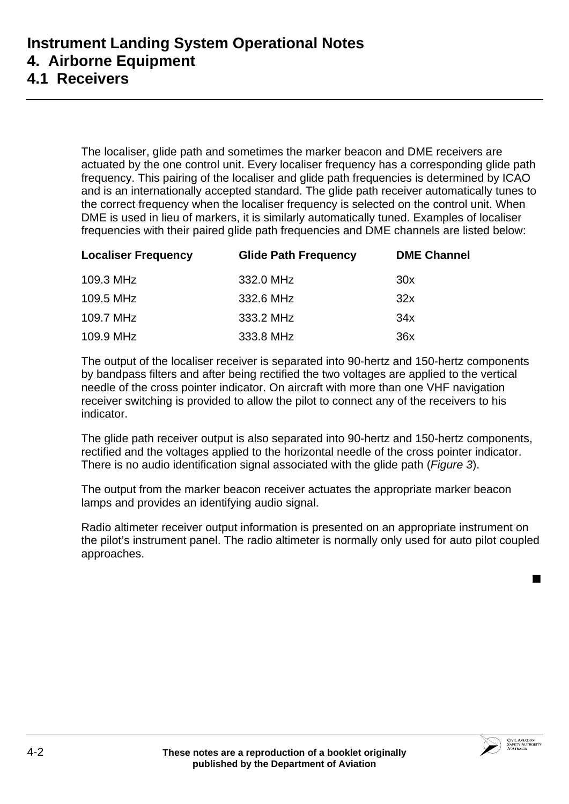## **4.1 Receivers**

The localiser, glide path and sometimes the marker beacon and DME receivers are actuated by the one control unit. Every localiser frequency has a corresponding glide path frequency. This pairing of the localiser and glide path frequencies is determined by ICAO and is an internationally accepted standard. The glide path receiver automatically tunes to the correct frequency when the localiser frequency is selected on the control unit. When DME is used in lieu of markers, it is similarly automatically tuned. Examples of localiser frequencies with their paired glide path frequencies and DME channels are listed below:

| <b>Localiser Frequency</b> | <b>Glide Path Frequency</b> | <b>DME Channel</b> |  |
|----------------------------|-----------------------------|--------------------|--|
| 109.3 MHz                  | 332.0 MHz                   | 30x                |  |
| 109.5 MHz                  | 332.6 MHz                   | 32x                |  |
| 109.7 MHz                  | 333.2 MHz                   | 34x                |  |
| 109.9 MHz                  | 333.8 MHz                   | 36x                |  |

The output of the localiser receiver is separated into 90-hertz and 150-hertz components by bandpass filters and after being rectified the two voltages are applied to the vertical needle of the cross pointer indicator. On aircraft with more than one VHF navigation receiver switching is provided to allow the pilot to connect any of the receivers to his indicator.

The glide path receiver output is also separated into 90-hertz and 150-hertz components, rectified and the voltages applied to the horizontal needle of the cross pointer indicator. There is no audio identification signal associated with the glide path (*Figure 3*).

The output from the marker beacon receiver actuates the appropriate marker beacon lamps and provides an identifying audio signal.

Radio altimeter receiver output information is presented on an appropriate instrument on the pilot's instrument panel. The radio altimeter is normally only used for auto pilot coupled approaches.

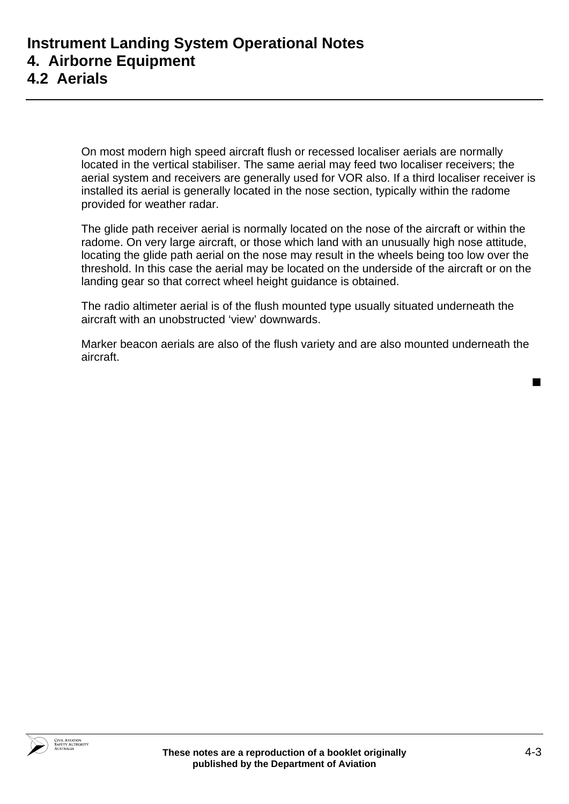On most modern high speed aircraft flush or recessed localiser aerials are normally located in the vertical stabiliser. The same aerial may feed two localiser receivers; the aerial system and receivers are generally used for VOR also. If a third localiser receiver is installed its aerial is generally located in the nose section, typically within the radome provided for weather radar.

The glide path receiver aerial is normally located on the nose of the aircraft or within the radome. On very large aircraft, or those which land with an unusually high nose attitude, locating the glide path aerial on the nose may result in the wheels being too low over the threshold. In this case the aerial may be located on the underside of the aircraft or on the landing gear so that correct wheel height guidance is obtained.

The radio altimeter aerial is of the flush mounted type usually situated underneath the aircraft with an unobstructed 'view' downwards.

Marker beacon aerials are also of the flush variety and are also mounted underneath the aircraft.

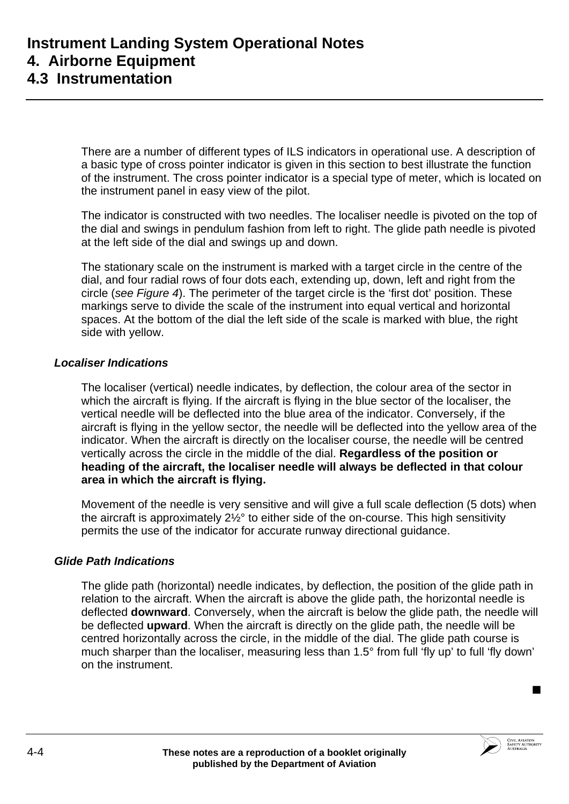There are a number of different types of ILS indicators in operational use. A description of a basic type of cross pointer indicator is given in this section to best illustrate the function of the instrument. The cross pointer indicator is a special type of meter, which is located on the instrument panel in easy view of the pilot.

The indicator is constructed with two needles. The localiser needle is pivoted on the top of the dial and swings in pendulum fashion from left to right. The glide path needle is pivoted at the left side of the dial and swings up and down.

The stationary scale on the instrument is marked with a target circle in the centre of the dial, and four radial rows of four dots each, extending up, down, left and right from the circle (*see Figure 4*). The perimeter of the target circle is the 'first dot' position. These markings serve to divide the scale of the instrument into equal vertical and horizontal spaces. At the bottom of the dial the left side of the scale is marked with blue, the right side with yellow.

### *Localiser Indications*

The localiser (vertical) needle indicates, by deflection, the colour area of the sector in which the aircraft is flying. If the aircraft is flying in the blue sector of the localiser, the vertical needle will be deflected into the blue area of the indicator. Conversely, if the aircraft is flying in the yellow sector, the needle will be deflected into the yellow area of the indicator. When the aircraft is directly on the localiser course, the needle will be centred vertically across the circle in the middle of the dial. **Regardless of the position or heading of the aircraft, the localiser needle will always be deflected in that colour area in which the aircraft is flying.**

Movement of the needle is very sensitive and will give a full scale deflection (5 dots) when the aircraft is approximately 2½° to either side of the on-course. This high sensitivity permits the use of the indicator for accurate runway directional guidance.

### *Glide Path Indications*

The glide path (horizontal) needle indicates, by deflection, the position of the glide path in relation to the aircraft. When the aircraft is above the glide path, the horizontal needle is deflected **downward**. Conversely, when the aircraft is below the glide path, the needle will be deflected **upward**. When the aircraft is directly on the glide path, the needle will be centred horizontally across the circle, in the middle of the dial. The glide path course is much sharper than the localiser, measuring less than 1.5° from full 'fly up' to full 'fly down' on the instrument.

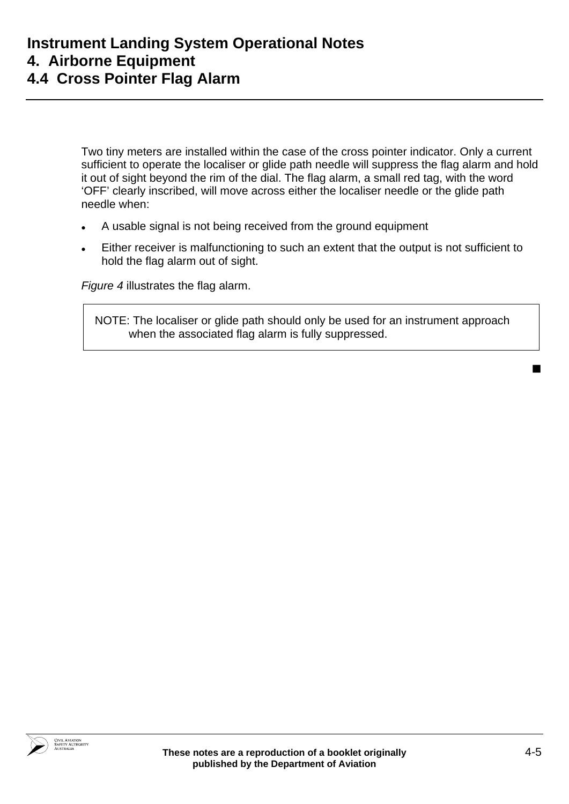# **Instrument Landing System Operational Notes 4. Airborne Equipment 4.4 Cross Pointer Flag Alarm**

Two tiny meters are installed within the case of the cross pointer indicator. Only a current sufficient to operate the localiser or glide path needle will suppress the flag alarm and hold it out of sight beyond the rim of the dial. The flag alarm, a small red tag, with the word 'OFF' clearly inscribed, will move across either the localiser needle or the glide path needle when:

- A usable signal is not being received from the ground equipment
- Either receiver is malfunctioning to such an extent that the output is not sufficient to hold the flag alarm out of sight.

*Figure 4* illustrates the flag alarm.

NOTE: The localiser or glide path should only be used for an instrument approach when the associated flag alarm is fully suppressed.

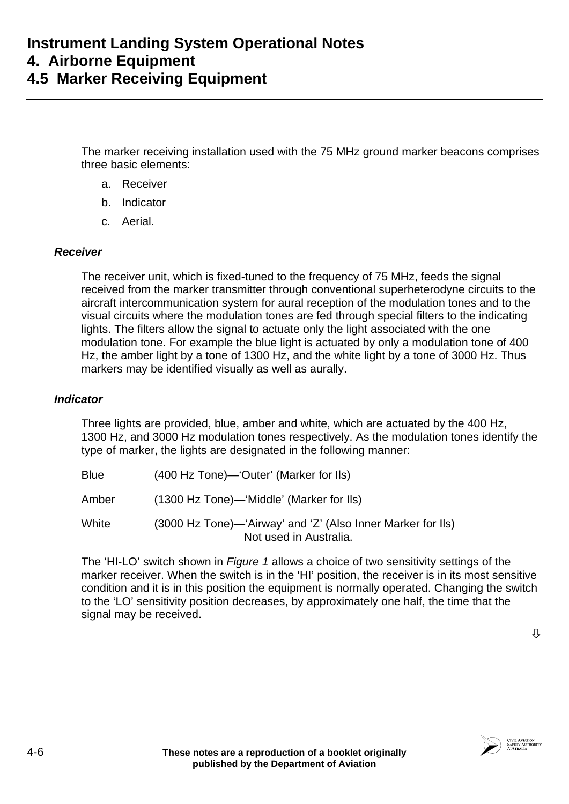The marker receiving installation used with the 75 MHz ground marker beacons comprises three basic elements:

- a. Receiver
- b. Indicator
- c. Aerial.

#### *Receiver*

The receiver unit, which is fixed-tuned to the frequency of 75 MHz, feeds the signal received from the marker transmitter through conventional superheterodyne circuits to the aircraft intercommunication system for aural reception of the modulation tones and to the visual circuits where the modulation tones are fed through special filters to the indicating lights. The filters allow the signal to actuate only the light associated with the one modulation tone. For example the blue light is actuated by only a modulation tone of 400 Hz, the amber light by a tone of 1300 Hz, and the white light by a tone of 3000 Hz. Thus markers may be identified visually as well as aurally.

#### *Indicator*

Three lights are provided, blue, amber and white, which are actuated by the 400 Hz, 1300 Hz, and 3000 Hz modulation tones respectively. As the modulation tones identify the type of marker, the lights are designated in the following manner:

Blue (400 Hz Tone)—'Outer' (Marker for Ils)

Amber (1300 Hz Tone)—'Middle' (Marker for Ils)

White (3000 Hz Tone)—'Airway' and 'Z' (Also Inner Marker for Ils) Not used in Australia.

The 'HI-LO' switch shown in *Figure 1* allows a choice of two sensitivity settings of the marker receiver. When the switch is in the 'HI' position, the receiver is in its most sensitive condition and it is in this position the equipment is normally operated. Changing the switch to the 'LO' sensitivity position decreases, by approximately one half, the time that the signal may be received.



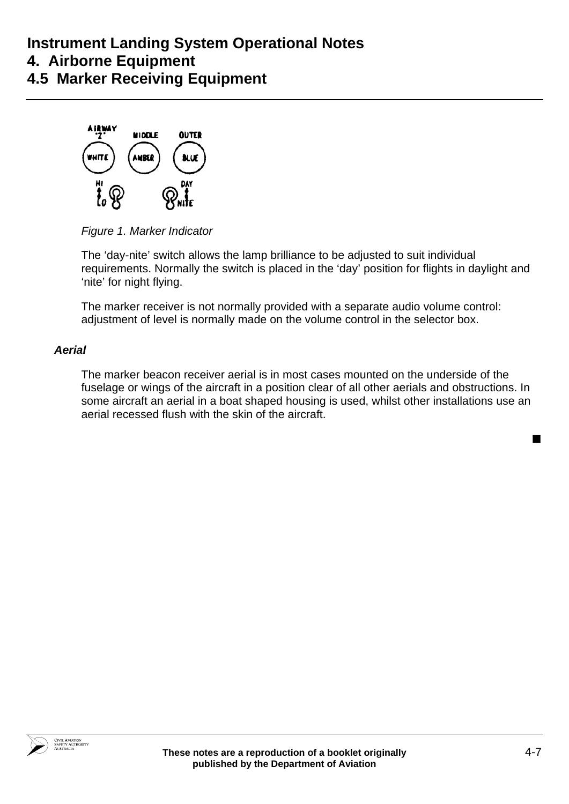# **Instrument Landing System Operational Notes 4. Airborne Equipment 4.5 Marker Receiving Equipment**



*Figure 1. Marker Indicator* 

The 'day-nite' switch allows the lamp brilliance to be adjusted to suit individual requirements. Normally the switch is placed in the 'day' position for flights in daylight and 'nite' for night flying.

The marker receiver is not normally provided with a separate audio volume control: adjustment of level is normally made on the volume control in the selector box.

## *Aerial*

The marker beacon receiver aerial is in most cases mounted on the underside of the fuselage or wings of the aircraft in a position clear of all other aerials and obstructions. In some aircraft an aerial in a boat shaped housing is used, whilst other installations use an aerial recessed flush with the skin of the aircraft.



 $\blacksquare$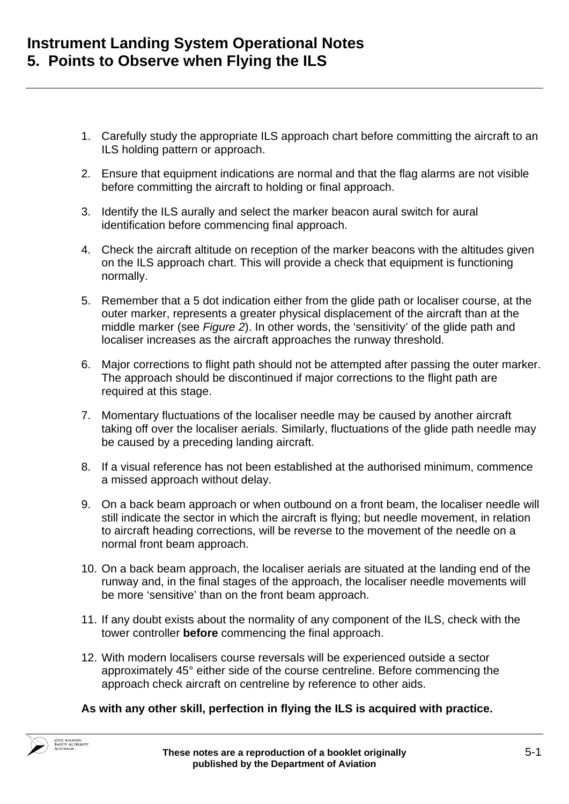- 1. Carefully study the appropriate ILS approach chart before committing the aircraft to an ILS holding pattern or approach.
- 2. Ensure that equipment indications are normal and that the flag alarms are not visible before committing the aircraft to holding or final approach.
- 3. Identify the ILS aurally and select the marker beacon aural switch for aural identification before commencing final approach.
- 4. Check the aircraft altitude on reception of the marker beacons with the altitudes given on the ILS approach chart. This will provide a check that equipment is functioning normally.
- 5. Remember that a 5 dot indication either from the glide path or localiser course, at the outer marker, represents a greater physical displacement of the aircraft than at the middle marker (see *Figure 2*). In other words, the 'sensitivity' of the glide path and localiser increases as the aircraft approaches the runway threshold.
- 6. Major corrections to flight path should not be attempted after passing the outer marker. The approach should be discontinued if major corrections to the flight path are required at this stage.
- 7. Momentary fluctuations of the localiser needle may be caused by another aircraft taking off over the localiser aerials. Similarly, fluctuations of the glide path needle may be caused by a preceding landing aircraft.
- 8. If a visual reference has not been established at the authorised minimum, commence a missed approach without delay.
- 9. On a back beam approach or when outbound on a front beam, the localiser needle will still indicate the sector in which the aircraft is flying; but needle movement, in relation to aircraft heading corrections, will be reverse to the movement of the needle on a normal front beam approach.
- 10. On a back beam approach, the localiser aerials are situated at the landing end of the runway and, in the final stages of the approach, the localiser needle movements will be more 'sensitive' than on the front beam approach.
- 11. If any doubt exists about the normality of any component of the ILS, check with the tower controller **before** commencing the final approach.
- 12. With modern localisers course reversals will be experienced outside a sector approximately 45° either side of the course centreline. Before commencing the approach check aircraft on centreline by reference to other aids.

### **As with any other skill, perfection in flying the ILS is acquired with practice.**

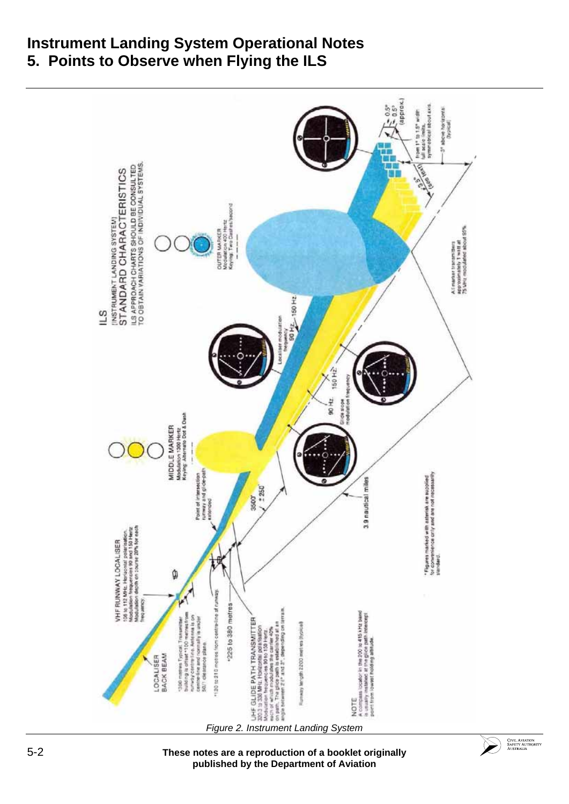# **Instrument Landing System Operational Notes 5. Points to Observe when Flying the ILS**



5-2 **These notes are a reproduction of a booklet originally published by the Department of Aviation**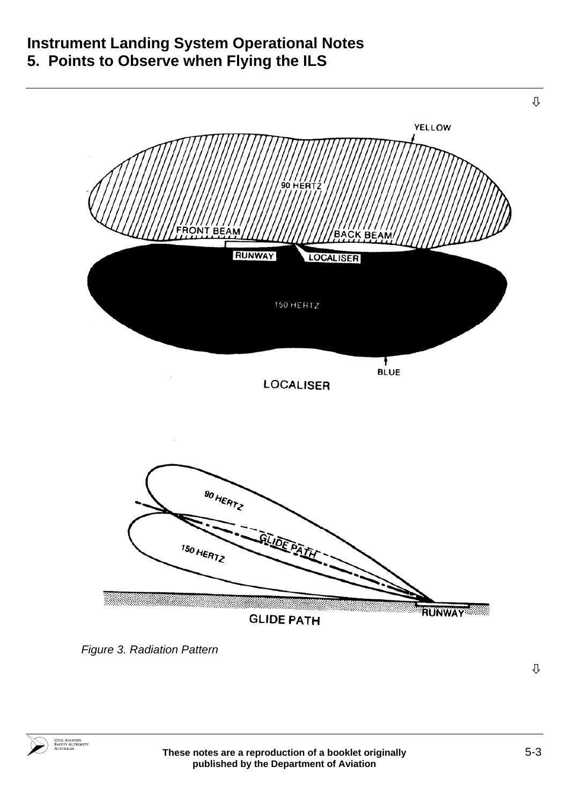# **Instrument Landing System Operational Notes 5. Points to Observe when Flying the ILS**



*Figure 3. Radiation Pattern* 

Ø